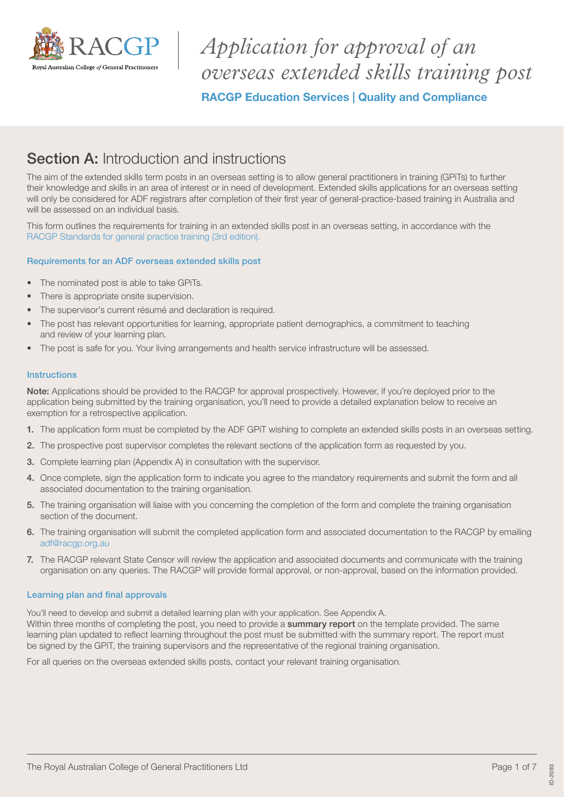

*Application for approval of an overseas extended skills training post* RACGP Education Services | Quality and Compliance

# **Section A:** Introduction and instructions

The aim of the extended skills term posts in an overseas setting is to allow general practitioners in training (GPiTs) to further their knowledge and skills in an area of interest or in need of development. Extended skills applications for an overseas setting will only be considered for ADF registrars after completion of their first year of general-practice-based training in Australia and will be assessed on an individual basis.

This form outlines the requirements for training in an extended skills post in an overseas setting, in accordance with the [RACGP Standards for general practice training \(3rd edition\).](https://www.racgp.org.au/education/education-providers/regional-training/standards-for-general-practice/standards-3rd-edition)

## Requirements for an ADF overseas extended skills post

- The nominated post is able to take GPiTs.
- There is appropriate onsite supervision.
- The supervisor's current résumé and declaration is required.
- The post has relevant opportunities for learning, appropriate patient demographics, a commitment to teaching and review of your learning plan.
- The post is safe for you. Your living arrangements and health service infrastructure will be assessed.

### **Instructions**

Note: Applications should be provided to the RACGP for approval prospectively. However, if you're deployed prior to the application being submitted by the training organisation, you'll need to provide a detailed explanation below to receive an exemption for a retrospective application.

- 1. The application form must be completed by the ADF GPiT wishing to complete an extended skills posts in an overseas setting.
- 2. The prospective post supervisor completes the relevant sections of the application form as requested by you.
- 3. Complete learning plan (Appendix A) in consultation with the supervisor.
- 4. Once complete, sign the application form to indicate you agree to the mandatory requirements and submit the form and all associated documentation to the training organisation.
- 5. The training organisation will liaise with you concerning the completion of the form and complete the training organisation section of the document.
- 6. The training organisation will submit the completed application form and associated documentation to the RACGP by emailing [adf@racgp.org.au](mailto:adf@racgp.org.au)
- 7. The RACGP relevant State Censor will review the application and associated documents and communicate with the training organisation on any queries. The RACGP will provide formal approval, or non-approval, based on the information provided.

### Learning plan and final approvals

You'll need to develop and submit a detailed learning plan with your application. See Appendix A.

Within three months of completing the post, you need to provide a summary report on the template provided. The same learning plan updated to reflect learning throughout the post must be submitted with the summary report. The report must be signed by the GPiT, the training supervisors and the representative of the regional training organisation.

For all queries on the overseas extended skills posts, contact your relevant training organisation.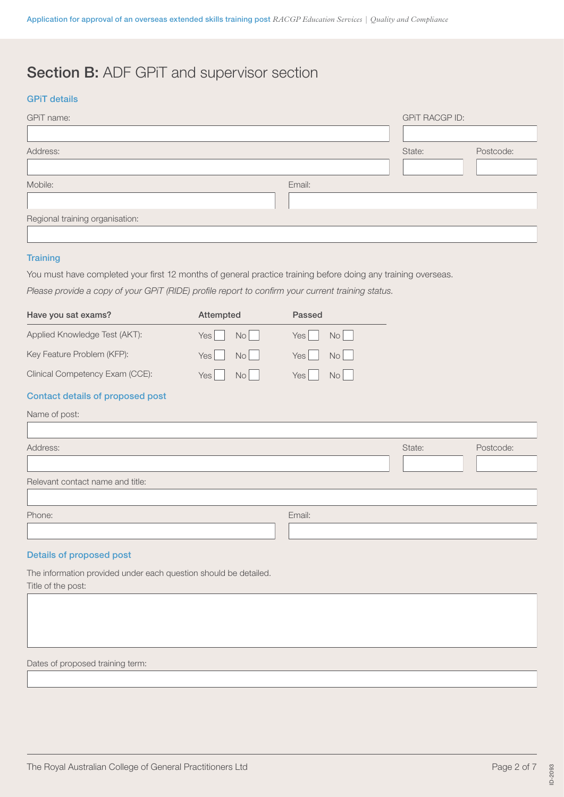# Section B: ADF GPiT and supervisor section

## GPiT details

| GPiT name:                      |        | <b>GPIT RACGP ID:</b> |           |
|---------------------------------|--------|-----------------------|-----------|
|                                 |        |                       |           |
| Address:                        |        | State:                | Postcode: |
|                                 |        |                       |           |
| Mobile:                         | Email: |                       |           |
|                                 |        |                       |           |
| Regional training organisation: |        |                       |           |
|                                 |        |                       |           |

### **Training**

You must have completed your first 12 months of general practice training before doing any training overseas.

*Please provide a copy of your GPiT (RIDE) profile report to confirm your current training status.*

| Have you sat exams?              | Attempted                | Passed                             |
|----------------------------------|--------------------------|------------------------------------|
| Applied Knowledge Test (AKT):    | No l<br>Yes <sup> </sup> | Yes <sup></sup><br>No <sub>l</sub> |
| Key Feature Problem (KFP):       | N <sub>O</sub><br>Yes    | Yes  <br>No <sub>l</sub>           |
| Clinical Competency Exam (CCE):  | Yes I<br>No <sub>l</sub> | Yes <sup></sup><br>No <sub>1</sub> |
| Contact details of proposed post |                          |                                    |
| Name of post:                    |                          |                                    |

| Address:                         |        | State: | Postcode: |
|----------------------------------|--------|--------|-----------|
|                                  |        |        |           |
| Relevant contact name and title: |        |        |           |
|                                  |        |        |           |
| Phone:                           | Email: |        |           |
|                                  |        |        |           |
|                                  |        |        |           |

## Details of proposed post

The information provided under each question should be detailed. Title of the post:

Dates of proposed training term: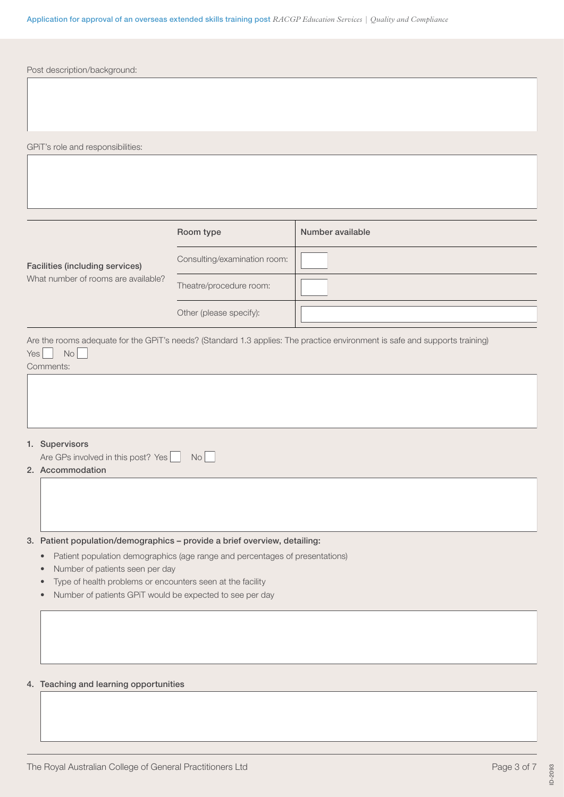| Post description/background:                                                                                                                                                                                                                                                                                                                          |                              |                                                                                                                             |
|-------------------------------------------------------------------------------------------------------------------------------------------------------------------------------------------------------------------------------------------------------------------------------------------------------------------------------------------------------|------------------------------|-----------------------------------------------------------------------------------------------------------------------------|
|                                                                                                                                                                                                                                                                                                                                                       |                              |                                                                                                                             |
|                                                                                                                                                                                                                                                                                                                                                       |                              |                                                                                                                             |
|                                                                                                                                                                                                                                                                                                                                                       |                              |                                                                                                                             |
| GPiT's role and responsibilities:                                                                                                                                                                                                                                                                                                                     |                              |                                                                                                                             |
|                                                                                                                                                                                                                                                                                                                                                       |                              |                                                                                                                             |
|                                                                                                                                                                                                                                                                                                                                                       |                              |                                                                                                                             |
|                                                                                                                                                                                                                                                                                                                                                       |                              |                                                                                                                             |
|                                                                                                                                                                                                                                                                                                                                                       | Room type                    | Number available                                                                                                            |
| <b>Facilities (including services)</b>                                                                                                                                                                                                                                                                                                                | Consulting/examination room: |                                                                                                                             |
| What number of rooms are available?                                                                                                                                                                                                                                                                                                                   | Theatre/procedure room:      |                                                                                                                             |
|                                                                                                                                                                                                                                                                                                                                                       | Other (please specify):      |                                                                                                                             |
| No<br>Yes<br>Comments:                                                                                                                                                                                                                                                                                                                                |                              | Are the rooms adequate for the GPiT's needs? (Standard 1.3 applies: The practice environment is safe and supports training) |
| 1. Supervisors<br>Are GPs involved in this post? Yes<br>2. Accommodation                                                                                                                                                                                                                                                                              | <b>No</b>                    |                                                                                                                             |
|                                                                                                                                                                                                                                                                                                                                                       |                              |                                                                                                                             |
| 3. Patient population/demographics - provide a brief overview, detailing:<br>Patient population demographics (age range and percentages of presentations)<br>٠<br>Number of patients seen per day<br>$\bullet$<br>Type of health problems or encounters seen at the facility<br>$\bullet$<br>Number of patients GPiT would be expected to see per day |                              |                                                                                                                             |
|                                                                                                                                                                                                                                                                                                                                                       |                              |                                                                                                                             |
| 4. Teaching and learning opportunities                                                                                                                                                                                                                                                                                                                |                              |                                                                                                                             |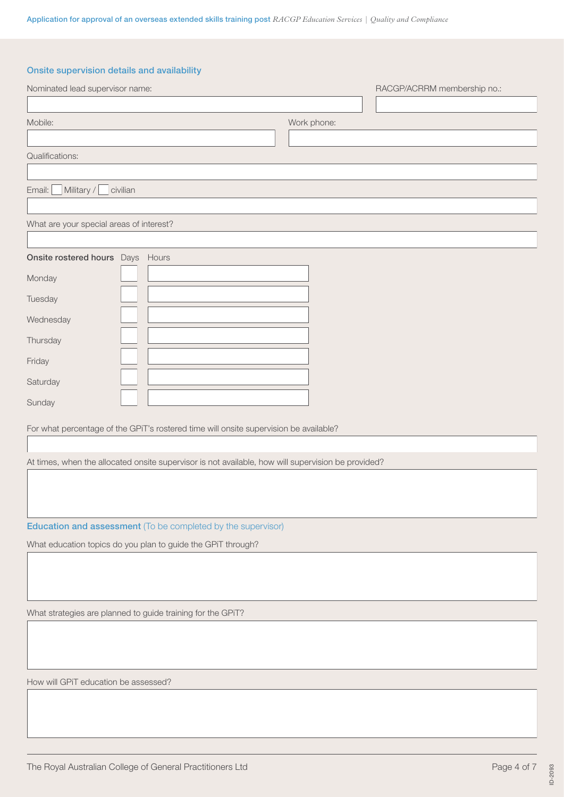## Onsite supervision details and availability

| Nominated lead supervisor name:                                                                    |             | RACGP/ACRRM membership no.: |
|----------------------------------------------------------------------------------------------------|-------------|-----------------------------|
| Mobile:                                                                                            | Work phone: |                             |
| Qualifications:                                                                                    |             |                             |
| Military /<br>Email:<br>civilian                                                                   |             |                             |
| What are your special areas of interest?                                                           |             |                             |
| Onsite rostered hours Days Hours                                                                   |             |                             |
| Monday                                                                                             |             |                             |
| Tuesday                                                                                            |             |                             |
| Wednesday                                                                                          |             |                             |
| Thursday                                                                                           |             |                             |
| Friday                                                                                             |             |                             |
| Saturday                                                                                           |             |                             |
| Sunday                                                                                             |             |                             |
| For what percentage of the GPiT's rostered time will onsite supervision be available?              |             |                             |
| At times, when the allocated onsite supervisor is not available, how will supervision be provided? |             |                             |
|                                                                                                    |             |                             |
| <b>Education and assessment</b> (To be completed by the supervisor)                                |             |                             |
| What education topics do you plan to guide the GPiT through?                                       |             |                             |
|                                                                                                    |             |                             |
| What strategies are planned to guide training for the GPiT?                                        |             |                             |
|                                                                                                    |             |                             |
| How will GPiT education be assessed?                                                               |             |                             |
|                                                                                                    |             |                             |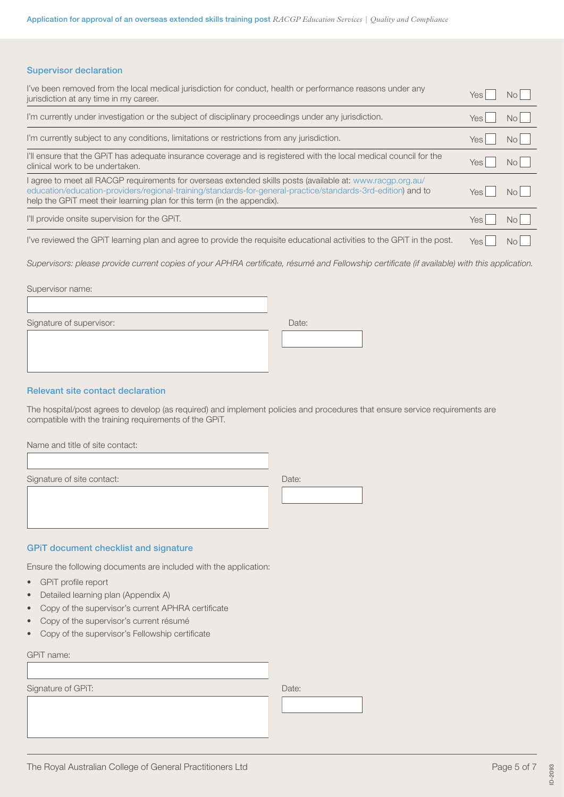#### Supervisor declaration

| I've been removed from the local medical jurisdiction for conduct, health or performance reasons under any<br>jurisdiction at any time in my career.                                                                                                                                                  | Yes        | No.            |
|-------------------------------------------------------------------------------------------------------------------------------------------------------------------------------------------------------------------------------------------------------------------------------------------------------|------------|----------------|
| I'm currently under investigation or the subject of disciplinary proceedings under any jurisdiction.                                                                                                                                                                                                  | Yes        | No I           |
| I'm currently subject to any conditions, limitations or restrictions from any jurisdiction.                                                                                                                                                                                                           | Yes        | N <sub>O</sub> |
| I'll ensure that the GPiT has adequate insurance coverage and is registered with the local medical council for the<br>clinical work to be undertaken.                                                                                                                                                 | Yes.       | No I           |
| I agree to meet all RACGP requirements for overseas extended skills posts (available at: www.racgp.org.au/<br>education/education-providers/regional-training/standards-for-general-practice/standards-3rd-edition) and to<br>help the GPIT meet their learning plan for this term (in the appendix). | Yes.       | No I           |
| I'll provide onsite supervision for the GPIT.                                                                                                                                                                                                                                                         | <b>Yes</b> | No.            |
| I've reviewed the GPIT learning plan and agree to provide the reguisite educational activities to the GPIT in the post.                                                                                                                                                                               | <b>Yes</b> | NN             |

*Supervisors: please provide current copies of your APHRA certificate, résumé and Fellowship certificate (if available) with this application.* 

Supervisor name:

Signature of supervisor: Date: Date: Date: Date: Date: Date: Date: Date: Date: Date: Date: Date: Date: Date: Date: Date: Date: Date: Date: Date: Date: Date: Date: Date: Date: Date: Date: Date: Date: Date: Date: Date: Date:

#### Relevant site contact declaration

The hospital/post agrees to develop (as required) and implement policies and procedures that ensure service requirements are compatible with the training requirements of the GPiT.

 $\overline{\phantom{a}}$ 

| Name and title of site contact: |       |
|---------------------------------|-------|
|                                 |       |
| Signature of site contact:      | Date: |
|                                 |       |
|                                 |       |
|                                 |       |
|                                 |       |

### GPiT document checklist and signature

Ensure the following documents are included with the application:

- GPiT profile report
- Detailed learning plan (Appendix A)
- Copy of the supervisor's current APHRA certificate
- Copy of the supervisor's current résumé
- Copy of the supervisor's Fellowship certificate

GPiT name:

| Signature of GPiT: | Date: |
|--------------------|-------|
|                    |       |
|                    |       |
|                    |       |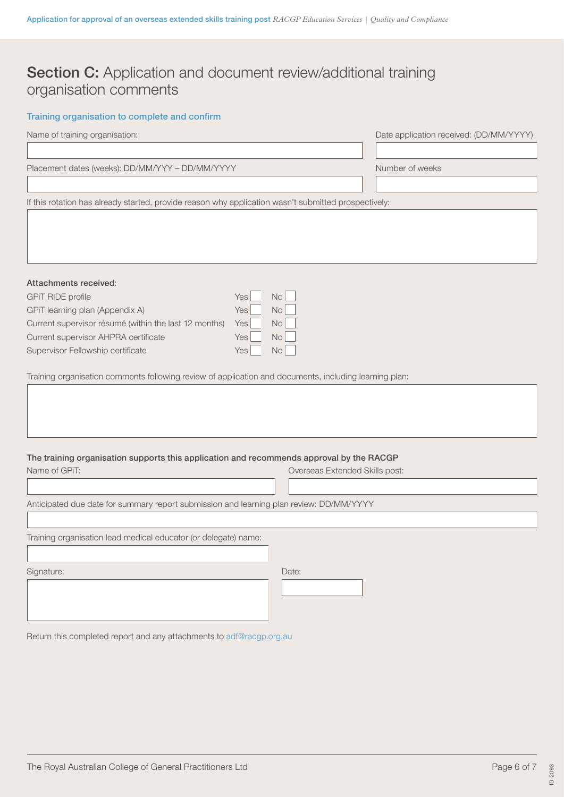# Section C: Application and document review/additional training organisation comments

## Training organisation to complete and confirm

| Name of training organisation:                                                                         |                                | Date application received: (DD/MM/YYYY) |
|--------------------------------------------------------------------------------------------------------|--------------------------------|-----------------------------------------|
|                                                                                                        |                                |                                         |
| Placement dates (weeks): DD/MM/YYY - DD/MM/YYYY                                                        |                                | Number of weeks                         |
|                                                                                                        |                                |                                         |
| If this rotation has already started, provide reason why application wasn't submitted prospectively:   |                                |                                         |
|                                                                                                        |                                |                                         |
|                                                                                                        |                                |                                         |
|                                                                                                        |                                |                                         |
| Attachments received:                                                                                  |                                |                                         |
| <b>GPIT RIDE profile</b>                                                                               | No<br>Yes                      |                                         |
| GPiT learning plan (Appendix A)                                                                        | Yes  <br>No                    |                                         |
| Current supervisor résumé (within the last 12 months)                                                  | No<br>Yes                      |                                         |
| Current supervisor AHPRA certificate                                                                   | Yes<br>No                      |                                         |
| Supervisor Fellowship certificate                                                                      | Yes<br>No                      |                                         |
|                                                                                                        |                                |                                         |
| Training organisation comments following review of application and documents, including learning plan: |                                |                                         |
|                                                                                                        |                                |                                         |
|                                                                                                        |                                |                                         |
|                                                                                                        |                                |                                         |
|                                                                                                        |                                |                                         |
| The training organisation supports this application and recommends approval by the RACGP               |                                |                                         |
| Name of GPIT:                                                                                          | Overseas Extended Skills post: |                                         |
|                                                                                                        |                                |                                         |
| Anticipated due date for summary report submission and learning plan review: DD/MM/YYYY                |                                |                                         |
|                                                                                                        |                                |                                         |
| Training organisation lead medical educator (or delegate) name:                                        |                                |                                         |
|                                                                                                        |                                |                                         |
| Signature:                                                                                             | Date:                          |                                         |
|                                                                                                        |                                |                                         |
|                                                                                                        |                                |                                         |
|                                                                                                        |                                |                                         |

Return this completed report and any attachments to [adf@racgp.org.au](mailto:adf@racgp.org.au)